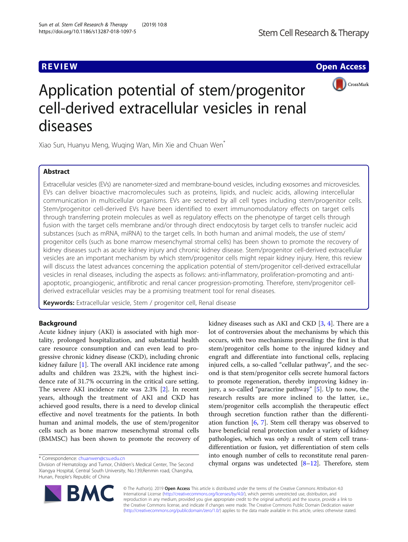**REVIEW CONTROL** CONTROL CONTROL CONTROL CONTROL CONTROL CONTROL CONTROL CONTROL CONTROL CONTROL CONTROL CONTROL



# Application potential of stem/progenitor cell-derived extracellular vesicles in renal diseases

Xiao Sun, Huanyu Meng, Wuqing Wan, Min Xie and Chuan Wen\*

# Abstract

Extracellular vesicles (EVs) are nanometer-sized and membrane-bound vesicles, including exosomes and microvesicles. EVs can deliver bioactive macromolecules such as proteins, lipids, and nucleic acids, allowing intercellular communication in multicellular organisms. EVs are secreted by all cell types including stem/progenitor cells. Stem/progenitor cell-derived EVs have been identified to exert immunomodulatory effects on target cells through transferring protein molecules as well as regulatory effects on the phenotype of target cells through fusion with the target cells membrane and/or through direct endocytosis by target cells to transfer nucleic acid substances (such as mRNA, miRNA) to the target cells. In both human and animal models, the use of stem/ progenitor cells (such as bone marrow mesenchymal stromal cells) has been shown to promote the recovery of kidney diseases such as acute kidney injury and chronic kidney disease. Stem/progenitor cell-derived extracellular vesicles are an important mechanism by which stem/progenitor cells might repair kidney injury. Here, this review will discuss the latest advances concerning the application potential of stem/progenitor cell-derived extracellular vesicles in renal diseases, including the aspects as follows: anti-inflammatory, proliferation-promoting and antiapoptotic, proangiogenic, antifibrotic and renal cancer progression-promoting. Therefore, stem/progenitor cellderived extracellular vesicles may be a promising treatment tool for renal diseases.

Keywords: Extracellular vesicle, Stem / progenitor cell, Renal disease

# Background

Acute kidney injury (AKI) is associated with high mortality, prolonged hospitalization, and substantial health care resource consumption and can even lead to progressive chronic kidney disease (CKD), including chronic kidney failure [[1\]](#page-6-0). The overall AKI incidence rate among adults and children was 23.2%, with the highest incidence rate of 31.7% occurring in the critical care setting. The severe AKI incidence rate was 2.3% [\[2](#page-6-0)]. In recent years, although the treatment of AKI and CKD has achieved good results, there is a need to develop clinical effective and novel treatments for the patients. In both human and animal models, the use of stem/progenitor cells such as bone marrow mesenchymal stromal cells (BMMSC) has been shown to promote the recovery of

kidney diseases such as AKI and CKD [[3,](#page-6-0) [4\]](#page-6-0). There are a lot of controversies about the mechanisms by which this occurs, with two mechanisms prevailing: the first is that stem/progenitor cells home to the injured kidney and engraft and differentiate into functional cells, replacing injured cells, a so-called "cellular pathway", and the second is that stem/progenitor cells secrete humoral factors to promote regeneration, thereby improving kidney injury, a so-called "paracrine pathway" [[5\]](#page-7-0). Up to now, the research results are more inclined to the latter, i.e., stem/progenitor cells accomplish the therapeutic effect through secretion function rather than the differentiation function [\[6](#page-7-0), [7\]](#page-7-0). Stem cell therapy was observed to have beneficial renal protection under a variety of kidney pathologies, which was only a result of stem cell transdifferentiation or fusion, yet differentiation of stem cells into enough number of cells to reconstitute renal parencorrespondence: [chuanwen@csu.edu.cn](mailto:chuanwen@csu.edu.cn)<br>Division of Hematology and Tumor, Children's Medical Center, The Second **chymal organs was undetected [\[8](#page-7-0)–[12\]](#page-7-0). Therefore, stem** 



© The Author(s). 2019 Open Access This article is distributed under the terms of the Creative Commons Attribution 4.0 International License [\(http://creativecommons.org/licenses/by/4.0/](http://creativecommons.org/licenses/by/4.0/)), which permits unrestricted use, distribution, and reproduction in any medium, provided you give appropriate credit to the original author(s) and the source, provide a link to the Creative Commons license, and indicate if changes were made. The Creative Commons Public Domain Dedication waiver [\(http://creativecommons.org/publicdomain/zero/1.0/](http://creativecommons.org/publicdomain/zero/1.0/)) applies to the data made available in this article, unless otherwise stated.

Division of Hematology and Tumor, Children's Medical Center, The Second Xiangya Hospital, Central South University, No.139,Renmin road, Changsha, Hunan, People's Republic of China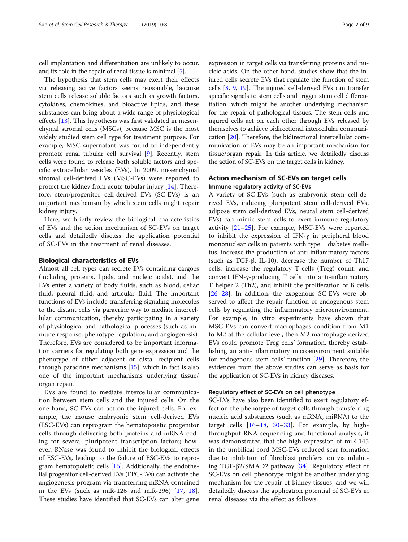cell implantation and differentiation are unlikely to occur, and its role in the repair of renal tissue is minimal [[5\]](#page-7-0).

The hypothesis that stem cells may exert their effects via releasing active factors seems reasonable, because stem cells release soluble factors such as growth factors, cytokines, chemokines, and bioactive lipids, and these substances can bring about a wide range of physiological effects [[13\]](#page-7-0). This hypothesis was first validated in mesenchymal stromal cells (MSCs), because MSC is the most widely studied stem cell type for treatment purpose. For example, MSC supernatant was found to independently promote renal tubular cell survival [\[9](#page-7-0)]. Recently, stem cells were found to release both soluble factors and specific extracellular vesicles (EVs). In 2009, mesenchymal stromal cell-derived EVs (MSC-EVs) were reported to protect the kidney from acute tubular injury [[14](#page-7-0)]. Therefore, stem/progenitor cell-derived EVs (SC-EVs) is an important mechanism by which stem cells might repair kidney injury.

Here, we briefly review the biological characteristics of EVs and the action mechanism of SC-EVs on target cells and detailedly discuss the application potential of SC-EVs in the treatment of renal diseases.

## Biological characteristics of EVs

Almost all cell types can secrete EVs containing cargoes (including proteins, lipids, and nucleic acids), and the EVs enter a variety of body fluids, such as blood, celiac fluid, pleural fluid, and articular fluid. The important functions of EVs include transferring signaling molecules to the distant cells via paracrine way to mediate intercellular communication, thereby participating in a variety of physiological and pathological processes (such as immune response, phenotype regulation, and angiogenesis). Therefore, EVs are considered to be important information carriers for regulating both gene expression and the phenotype of either adjacent or distal recipient cells through paracrine mechanisms [\[15](#page-7-0)], which in fact is also one of the important mechanisms underlying tissue/ organ repair.

EVs are found to mediate intercellular communication between stem cells and the injured cells. On the one hand, SC-EVs can act on the injured cells. For example, the mouse embryonic stem cell-derived EVs (ESC-EVs) can reprogram the hematopoietic progenitor cells through delivering both proteins and mRNA coding for several pluripotent transcription factors; however, RNase was found to inhibit the biological effects of ESC-EVs, leading to the failure of ESC-EVs to reprogram hematopoietic cells [\[16\]](#page-7-0). Additionally, the endothelial progenitor cell-derived EVs (EPC-EVs) can activate the angiogenesis program via transferring mRNA contained in the EVs (such as miR-126 and miR-296) [[17,](#page-7-0) [18](#page-7-0)]. These studies have identified that SC-EVs can alter gene expression in target cells via transferring proteins and nucleic acids. On the other hand, studies show that the injured cells secrete EVs that regulate the function of stem cells [[8,](#page-7-0) [9](#page-7-0), [19\]](#page-7-0). The injured cell-derived EVs can transfer specific signals to stem cells and trigger stem cell differentiation, which might be another underlying mechanism for the repair of pathological tissues. The stem cells and injured cells act on each other through EVs released by themselves to achieve bidirectional intercellular communication [\[20](#page-7-0)]. Therefore, the bidirectional intercellular communication of EVs may be an important mechanism for tissue/organ repair. In this article, we detailedly discuss the action of SC-EVs on the target cells in kidney.

# Action mechanism of SC-EVs on target cells Immune regulatory activity of SC-EVs

A variety of SC-EVs (such as embryonic stem cell-derived EVs, inducing pluripotent stem cell-derived EVs, adipose stem cell-derived EVs, neural stem cell-derived EVs) can mimic stem cells to exert immune regulatory activity [[21](#page-7-0)–[25](#page-7-0)]. For example, MSC-EVs were reported to inhibit the expression of IFN-γ in peripheral blood mononuclear cells in patients with type 1 diabetes mellitus, increase the production of anti-inflammatory factors (such as TGF-β, IL-10), decrease the number of Th17 cells, increase the regulatory T cells (Treg) count, and convert IFN-γ-producing T cells into anti-inflammatory T helper 2 (Th2), and inhibit the proliferation of B cells [[26](#page-7-0)–[28](#page-7-0)]. In addition, the exogenous SC-EVs were observed to affect the repair function of endogenous stem cells by regulating the inflammatory microenvironment. For example, in vitro experiments have shown that MSC-EVs can convert macrophages condition from M1 to M2 at the cellular level, then M2 macrophage-derived EVs could promote Treg cells' formation, thereby establishing an anti-inflammatory microenvironment suitable for endogenous stem cells' function [[29](#page-7-0)]. Therefore, the evidences from the above studies can serve as basis for the application of SC-EVs in kidney diseases.

# Regulatory effect of SC-EVs on cell phenotype

SC-EVs have also been identified to exert regulatory effect on the phenotype of target cells through transferring nucleic acid substances (such as mRNA, miRNA) to the target cells  $[16-18, 30-33]$  $[16-18, 30-33]$  $[16-18, 30-33]$  $[16-18, 30-33]$  $[16-18, 30-33]$  $[16-18, 30-33]$  $[16-18, 30-33]$  $[16-18, 30-33]$ . For example, by highthroughput RNA sequencing and functional analysis, it was demonstrated that the high expression of miR-145 in the umbilical cord MSC-EVs reduced scar formation due to inhibition of fibroblast proliferation via inhibiting TGF-β2/SMAD2 pathway [[34\]](#page-7-0). Regulatory effect of SC-EVs on cell phenotype might be another underlying mechanism for the repair of kidney tissues, and we will detailedly discuss the application potential of SC-EVs in renal diseases via the effect as follows.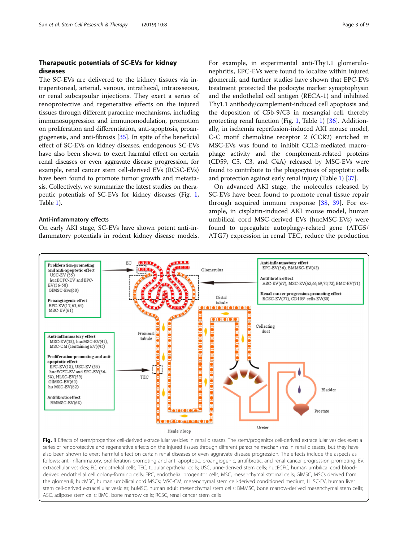# <span id="page-2-0"></span>Therapeutic potentials of SC-EVs for kidney diseases

The SC-EVs are delivered to the kidney tissues via intraperitoneal, arterial, venous, intrathecal, intraosseous, or renal subcapsular injections. They exert a series of renoprotective and regenerative effects on the injured tissues through different paracrine mechanisms, including immunosuppression and immunomodulation, promotion on proliferation and differentiation, anti-apoptosis, proangiogenesis, and anti-fibrosis [\[35\]](#page-7-0). In spite of the beneficial effect of SC-EVs on kidney diseases, endogenous SC-EVs have also been shown to exert harmful effect on certain renal diseases or even aggravate disease progression, for example, renal cancer stem cell-derived EVs (RCSC-EVs) have been found to promote tumor growth and metastasis. Collectively, we summarize the latest studies on therapeutic potentials of SC-EVs for kidney diseases (Fig. 1, Table [1\)](#page-3-0).

### Anti-inflammatory effects

On early AKI stage, SC-EVs have shown potent anti-inflammatory potentials in rodent kidney disease models.

For example, in experimental anti-Thy1.1 glomerulonephritis, EPC-EVs were found to localize within injured glomeruli, and further studies have shown that EPC-EVs treatment protected the podocyte marker synaptophysin and the endothelial cell antigen (RECA-1) and inhibited Thy1.1 antibody/complement-induced cell apoptosis and the deposition of C5b-9/C3 in mesangial cell, thereby protecting renal function (Fig. 1, Table [1](#page-3-0)) [[36](#page-7-0)]. Additionally, in ischemia reperfusion-induced AKI mouse model, C-C motif chemokine receptor 2 (CCR2) enriched in MSC-EVs was found to inhibit CCL2-mediated macrophage activity and the complement-related proteins (CD59, C5, C3, and C4A) released by MSC-EVs were found to contribute to the phagocytosis of apoptotic cells and protection against early renal injury (Table [1](#page-3-0)) [\[37\]](#page-7-0).

On advanced AKI stage, the molecules released by SC-EVs have been found to promote renal tissue repair through acquired immune response  $[38, 39]$  $[38, 39]$  $[38, 39]$  $[38, 39]$ . For example, in cisplatin-induced AKI mouse model, human umbilical cord MSC-derived EVs (hucMSC-EVs) were found to upregulate autophagy-related gene (ATG5/ ATG7) expression in renal TEC, reduce the production



Fig. 1 Effects of stem/progenitor cell-derived extracellular vesicles in renal diseases. The stem/progenitor cell-derived extracellular vesicles exert a series of renoprotective and regenerative effects on the injured tissues through different paracrine mechanisms in renal diseases, but they have also been shown to exert harmful effect on certain renal diseases or even aggravate disease progression. The effects include the aspects as follows: anti-inflammatory, proliferation-promoting and anti-apoptotic, proangiogenic, antifibrotic, and renal cancer progression-promoting. EV, extracellular vesicles; EC, endothelial cells; TEC, tubular epithelial cells; USC, urine-derived stem cells; hucECFC, human umbilical cord bloodderived endothelial cell colony-forming cells; EPC, endothelial progenitor cells; MSC, mesenchymal stromal cells; GlMSC, MSCs derived from the glomeruli; hucMSC, human umbilical cord MSCs; MSC-CM, mesenchymal stem cell-derived conditioned medium; HLSC-EV, human liver stem cell-derived extracellular vesicles; huMSC, human adult mesenchymal stem cells; BMMSC, bone marrow-derived mesenchymal stem cells; ASC, adipose stem cells; BMC, bone marrow cells; RCSC, renal cancer stem cells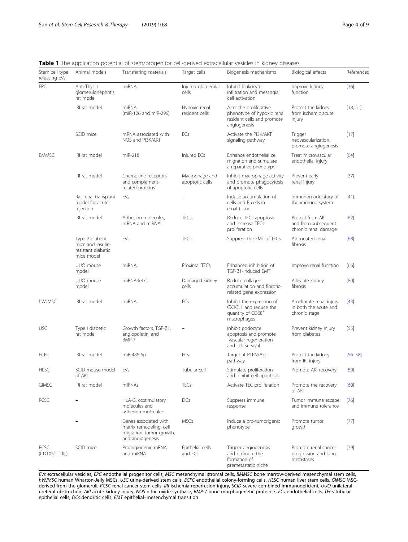<span id="page-3-0"></span>

|  |  |  | Table 1 The application potential of stem/progenitor cell-derived extracellular vesicles in kidney diseases |  |  |  |  |
|--|--|--|-------------------------------------------------------------------------------------------------------------|--|--|--|--|
|--|--|--|-------------------------------------------------------------------------------------------------------------|--|--|--|--|

| Stem cell type<br>releasing EVs | Animal models                                                            | Transferring materials                                                                           | Target cells                      | Biogenesis mechanisms                                                                               | Biological effects                                                | References  |
|---------------------------------|--------------------------------------------------------------------------|--------------------------------------------------------------------------------------------------|-----------------------------------|-----------------------------------------------------------------------------------------------------|-------------------------------------------------------------------|-------------|
| EPC                             | Anti-Thy1.1<br>glomerulonephritis<br>rat model                           | miRNA                                                                                            |                                   | Inhibit leukocyte<br>infiltration and mesangial<br>cell activation                                  | Improve kidney<br>function                                        | $[36]$      |
|                                 | IRI rat model                                                            | miRNA<br>(miR-126 and miR-296)                                                                   | Hypoxic renal<br>resident cells   | Alter the proliferative<br>phenotype of hypoxic renal<br>resident cells and promote<br>angiogenesis | Protect the kidney<br>from ischemic acute<br>injury               | [18, 51]    |
|                                 | SCID mice                                                                | mRNA associated with<br>NOS and PI3K/AKT                                                         | ECs                               | Activate the PI3K/AKT<br>signaling pathway                                                          | Trigger<br>neovascularization,<br>promote angiogenesis            | $[17]$      |
| <b>BMMSC</b>                    | IRI rat model                                                            | miR-218                                                                                          | Injured ECs                       | Enhance endothelial cell<br>migration and stimulate<br>a reparative phenotype                       | Treat microvascular<br>endothelial injury                         | [64]        |
|                                 | IRI rat model                                                            | Chemokine receptors<br>and complement-<br>related proteins                                       | Macrophage and<br>apoptotic cells | Inhibit macrophage activity<br>and promote phagocytosis<br>of apoptotic cells                       | Prevent early<br>renal injury                                     | $[37]$      |
|                                 | Rat renal transplant<br>model for acute<br>rejection                     | EVs                                                                                              |                                   | Induce accumulation of T<br>cells and B cells in<br>renal tissue                                    | Immunomodulatory of<br>the immune system                          | [41]        |
|                                 | IRI rat model                                                            | Adhesion molecules,<br>mRNA and miRNA                                                            | <b>TECs</b>                       | Reduce TECs apoptosis<br>and increase TFCs<br>proliferation                                         | Protect from AKI<br>and from subsequent<br>chronic renal damage   | [62]        |
|                                 | Type 2 diabetic<br>mice and insulin-<br>resistant diabetic<br>mice model | EVs                                                                                              | <b>TECs</b>                       | Suppress the EMT of TECs                                                                            | Attenuated renal<br>fibrosis                                      | [68]        |
|                                 | UUO mouse<br>model                                                       | miRNA                                                                                            | Proximal TECs                     | Enhanced inhibition of<br>$TGF-\beta 1$ -induced EMT                                                | Improve renal function                                            | [66]        |
|                                 | UUO mouse<br>model                                                       | miRNA-let7c                                                                                      | Damaged kidney<br>cells           | Reduce collagen<br>accumulation and fibrotic-<br>related gene expression                            | Alleviate kidney<br>fibrosis                                      | [80]        |
| hWJMSC                          | IRI rat model                                                            | miRNA                                                                                            | <b>ECs</b>                        | Inhibit the expression of<br>CX3CL1 and reduce the<br>quantity of CD68 <sup>+</sup><br>macrophages  | Ameliorate renal injury<br>in both the acute and<br>chronic stage | $[43]$      |
| <b>USC</b>                      | Type I diabetic<br>rat model                                             | Growth factors, $TGF-\beta1,$<br>angiopoietin, and<br>BMP-7                                      | ۰                                 | Inhibit podocyte<br>apoptosis and promote<br>vascular regeneration<br>and cell survival             | Prevent kidney injury<br>from diabetes                            | $[55]$      |
| <b>ECFC</b>                     | IRI rat model                                                            | miR-486-5p                                                                                       | ECs                               | Target at PTEN/Akt<br>pathway                                                                       | Protect the kidney<br>from IRI injury                             | $[56 - 58]$ |
| <b>HLSC</b>                     | SCID mouse model<br>of AKI                                               | EVs                                                                                              | Tubular cell                      | Stimulate proliferation<br>and inhibit cell apoptosis                                               | Promote AKI recovery                                              | $[59]$      |
| GIMSC                           | IRI rat model                                                            | miRNAs                                                                                           | <b>TECs</b>                       | Activate TEC proliferation                                                                          | Promote the recovery<br>of AKI                                    | [60]        |
| <b>RCSC</b>                     |                                                                          | HLA-G, costimulatory<br>molecules and<br>adhesion molecules                                      | DCs                               | Suppress immune<br>response                                                                         | Tumor immune escape<br>and immune tolerance                       | [76]        |
|                                 |                                                                          | Genes associated with<br>matrix remodeling, cell<br>migration, tumor growth,<br>and angiogenesis | <b>MSCs</b>                       | Induce a pro-tumorigenic<br>phenotype                                                               | Promote tumor<br>growth                                           | $[77]$      |
| <b>RCSC</b><br>$(CD105+$ cells) | SCID mice                                                                | Proangiogenic mRNA<br>and miRNA                                                                  | Epithelial cells<br>and ECs       | Trigger angiogenesis<br>and promote the<br>formation of<br>premetastatic niche                      | Promote renal cancer<br>progression and lung<br>metastases        | $[79]$      |

EVs extracellular vesicles, EPC endothelial progenitor cells, MSC mesenchymal stromal cells, BMMSC bone marrow-derived mesenchymal stem cells, hWJMSC human Wharton-Jelly MSCs, USC urine-derived stem cells, ECFC endothelial colony-forming cells, HLSC human liver stem cells, GIMSC MSCderived from the glomeruli, RCSC renal cancer stem cells, IRI ischemia-reperfusion injury, SCID severe combined immunodeficient, UUO unilateral ureteral obstruction, AKI acute kidney injury, NOS nitric oxide synthase, BMP-7 bone morphogenetic protein-7, ECs endothelial cells, TECs tubular epithelial cells, DCs dendritic cells, EMT epithelial-mesenchymal transition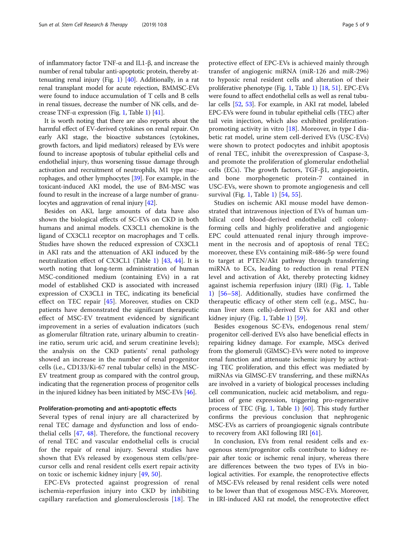of inflammatory factor TNF-α and IL1-β, and increase the number of renal tubular anti-apoptotic protein, thereby attenuating renal injury (Fig. [1\)](#page-2-0) [[40](#page-7-0)]. Additionally, in a rat renal transplant model for acute rejection, BMMSC-EVs were found to induce accumulation of T cells and B cells in renal tissues, decrease the number of NK cells, and de-crease TNF-α expression (Fig. [1](#page-2-0), Table [1\)](#page-3-0) [\[41](#page-7-0)].

It is worth noting that there are also reports about the harmful effect of EV-derived cytokines on renal repair. On early AKI stage, the bioactive substances (cytokines, growth factors, and lipid mediators) released by EVs were found to increase apoptosis of tubular epithelial cells and endothelial injury, thus worsening tissue damage through activation and recruitment of neutrophils, M1 type macrophages, and other lymphocytes [\[39\]](#page-7-0). For example, in the toxicant-induced AKI model, the use of BM-MSC was found to result in the increase of a large number of granulocytes and aggravation of renal injury [[42](#page-7-0)].

Besides on AKI, large amounts of data have also shown the biological effects of SC-EVs on CKD in both humans and animal models. CX3CL1 chemokine is the ligand of CX3CL1 receptor on macrophages and T cells. Studies have shown the reduced expression of CX3CL1 in AKI rats and the attenuation of AKI induced by the neutralization effect of CX3CL1 (Table [1\)](#page-3-0) [[43,](#page-7-0) [44\]](#page-7-0). It is worth noting that long-term administration of human MSC-conditioned medium (containing EVs) in a rat model of established CKD is associated with increased expression of CX3CL1 in TEC, indicating its beneficial effect on TEC repair [[45\]](#page-7-0). Moreover, studies on CKD patients have demonstrated the significant therapeutic effect of MSC-EV treatment evidenced by significant improvement in a series of evaluation indicators (such as glomerular filtration rate, urinary albumin to creatinine ratio, serum uric acid, and serum creatinine levels); the analysis on the CKD patients' renal pathology showed an increase in the number of renal progenitor cells (i.e., CD133/Ki-67 renal tubular cells) in the MSC-EV treatment group as compared with the control group, indicating that the regeneration process of progenitor cells in the injured kidney has been initiated by MSC-EVs [\[46\]](#page-8-0).

#### Proliferation-promoting and anti-apoptotic effects

Several types of renal injury are all characterized by renal TEC damage and dysfunction and loss of endothelial cells [[47,](#page-8-0) [48\]](#page-8-0). Therefore, the functional recovery of renal TEC and vascular endothelial cells is crucial for the repair of renal injury. Several studies have shown that EVs released by exogenous stem cells/precursor cells and renal resident cells exert repair activity on toxic or ischemic kidney injury [[49,](#page-8-0) [50](#page-8-0)].

EPC-EVs protected against progression of renal ischemia-reperfusion injury into CKD by inhibiting capillary rarefaction and glomerulosclerosis [[18](#page-7-0)]. The protective effect of EPC-EVs is achieved mainly through transfer of angiogenic miRNA (miR-126 and miR-296) to hypoxic renal resident cells and alteration of their proliferative phenotype (Fig. [1,](#page-2-0) Table [1](#page-3-0)) [[18](#page-7-0), [51](#page-8-0)]. EPC-EVs were found to affect endothelial cells as well as renal tubular cells [[52,](#page-8-0) [53\]](#page-8-0). For example, in AKI rat model, labeled EPC-EVs were found in tubular epithelial cells (TEC) after tail vein injection, which also exhibited proliferationpromoting activity in vitro  $[18]$  $[18]$ . Moreover, in type I diabetic rat model, urine stem cell-derived EVs (USC-EVs) were shown to protect podocytes and inhibit apoptosis of renal TEC, inhibit the overexpression of Caspase-3, and promote the proliferation of glomerular endothelial cells (ECs). The growth factors, TGF-β1, angiopoietin, and bone morphogenetic protein-7 contained in USC-EVs, were shown to promote angiogenesis and cell survival (Fig. [1](#page-2-0), Table [1](#page-3-0)) [[54,](#page-8-0) [55\]](#page-8-0).

Studies on ischemic AKI mouse model have demonstrated that intravenous injection of EVs of human umbilical cord blood-derived endothelial cell colonyforming cells and highly proliferative and angiogenic EPC could attenuated renal injury through improvement in the necrosis and of apoptosis of renal TEC; moreover, these EVs containing miR-486-5p were found to target at PTEN/Akt pathway through transferring miRNA to ECs, leading to reduction in renal PTEN level and activation of Akt, thereby protecting kidney against ischemia reperfusion injury (IRI) (Fig. [1](#page-2-0), Table [1\)](#page-3-0) [[56](#page-8-0)–[58\]](#page-8-0). Additionally, studies have confirmed the therapeutic efficacy of other stem cell (e.g., MSC, human liver stem cells)-derived EVs for AKI and other kidney injury (Fig. [1](#page-2-0), Table [1\)](#page-3-0) [\[59](#page-8-0)].

Besides exogenous SC-EVs, endogenous renal stem/ progenitor cell-derived EVs also have beneficial effects in repairing kidney damage. For example, MSCs derived from the glomeruli (GlMSC)-EVs were noted to improve renal function and attenuate ischemic injury by activating TEC proliferation, and this effect was mediated by miRNAs via GlMSC-EV transferring, and these miRNAs are involved in a variety of biological processes including cell communication, nucleic acid metabolism, and regulation of gene expression, triggering pro-regenerative process of TEC (Fig. [1,](#page-2-0) Table [1](#page-3-0)) [\[60](#page-8-0)]. This study further confirms the previous conclusion that nephrogenic MSC-EVs as carriers of proangiogenic signals contribute to recovery from AKI following IRI [\[61](#page-8-0)].

In conclusion, EVs from renal resident cells and exogenous stem/progenitor cells contribute to kidney repair after toxic or ischemic renal injury, whereas there are differences between the two types of EVs in biological activities. For example, the renoprotective effects of MSC-EVs released by renal resident cells were noted to be lower than that of exogenous MSC-EVs. Moreover, in IRI-induced AKI rat model, the renoprotective effect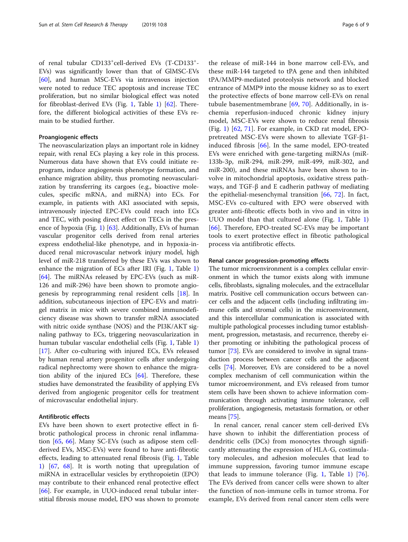of renal tubular CD133<sup>+</sup>cell-derived EVs (T-CD133<sup>+</sup>-EVs) was significantly lower than that of GlMSC-EVs [[60\]](#page-8-0), and human MSC-EVs via intravenous injection were noted to reduce TEC apoptosis and increase TEC proliferation, but no similar biological effect was noted for fibroblast-derived EVs (Fig. [1](#page-2-0), Table [1\)](#page-3-0) [\[62](#page-8-0)]. Therefore, the different biological activities of these EVs remain to be studied further.

# Proangiogenic effects

The neovascularization plays an important role in kidney repair, with renal ECs playing a key role in this process. Numerous data have shown that EVs could initiate reprogram, induce angiogenesis phenotype formation, and enhance migration ability, thus promoting neovascularization by transferring its cargoes (e.g., bioactive molecules, specific mRNA, and miRNA) into ECs. For example, in patients with AKI associated with sepsis, intravenously injected EPC-EVs could reach into ECs and TEC, with posing direct effect on TECs in the presence of hypoxia (Fig. [1\)](#page-2-0) [\[63\]](#page-8-0). Additionally, EVs of human vascular progenitor cells derived from renal arteries express endothelial-like phenotype, and in hypoxia-induced renal microvascular network injury model, high level of miR-218 transferred by these EVs was shown to enhance the migration of ECs after IRI (Fig. [1](#page-2-0), Table [1](#page-3-0)) [[64\]](#page-8-0). The miRNAs released by EPC-EVs (such as miR-126 and miR-296) have been shown to promote angiogenesis by reprogramming renal resident cells [[18\]](#page-7-0). In addition, subcutaneous injection of EPC-EVs and matrigel matrix in mice with severe combined immunodeficiency disease was shown to transfer mRNA associated with nitric oxide synthase (NOS) and the PI3K/AKT signaling pathway to ECs, triggering neovascularization in human tubular vascular endothelial cells (Fig. [1,](#page-2-0) Table [1](#page-3-0)) [[17\]](#page-7-0). After co-culturing with injured ECs, EVs released by human renal artery progenitor cells after undergoing radical nephrectomy were shown to enhance the migration ability of the injured ECs [[64](#page-8-0)]. Therefore, these studies have demonstrated the feasibility of applying EVs derived from angiogenic progenitor cells for treatment of microvascular endothelial injury.

# Antifibrotic effects

EVs have been shown to exert protective effect in fibrotic pathological process in chronic renal inflammation [\[65,](#page-8-0) [66\]](#page-8-0). Many SC-EVs (such as adipose stem cellderived EVs, MSC-EVs) were found to have anti-fibrotic effects, leading to attenuated renal fibrosis (Fig. [1](#page-2-0), Table [1\)](#page-3-0) [\[67](#page-8-0), [68](#page-8-0)]. It is worth noting that upregulation of miRNA in extracellular vesicles by erythropoietin (EPO) may contribute to their enhanced renal protective effect [[66\]](#page-8-0). For example, in UUO-induced renal tubular interstitial fibrosis mouse model, EPO was shown to promote

the release of miR-144 in bone marrow cell-EVs, and these miR-144 targeted to tPA gene and then inhibited tPA/MMP9-mediated proteolysis network and blocked entrance of MMP9 into the mouse kidney so as to exert the protective effects of bone marrow cell-EVs on renal tubule basementmembrane [\[69](#page-8-0), [70](#page-8-0)]. Additionally, in ischemia reperfusion-induced chronic kidney injury model, MSC-EVs were shown to reduce renal fibrosis (Fig. [1](#page-2-0)) [\[62](#page-8-0), [71\]](#page-8-0). For example, in CKD rat model, EPOpretreated MSC-EVs were shown to alleviate TGF-β1 induced fibrosis [[66\]](#page-8-0). In the same model, EPO-treated EVs were enriched with gene-targeting miRNAs (miR-133b-3p, miR-294, miR-299, miR-499, miR-302, and miR-200), and these miRNAs have been shown to involve in mitochondrial apoptosis, oxidative stress pathways, and TGF-β and E cadherin pathway of mediating the epithelial-mesenchymal transition  $[66, 72]$  $[66, 72]$  $[66, 72]$  $[66, 72]$  $[66, 72]$ . In fact, MSC-EVs co-cultured with EPO were observed with greater anti-fibrotic effects both in vivo and in vitro in UUO model than that cultured alone (Fig. [1,](#page-2-0) Table [1](#page-3-0)) [[66\]](#page-8-0). Therefore, EPO-treated SC-EVs may be important tools to exert protective effect in fibrotic pathological process via antifibrotic effects.

# Renal cancer progression-promoting effects

The tumor microenvironment is a complex cellular environment in which the tumor exists along with immune cells, fibroblasts, signaling molecules, and the extracellular matrix. Positive cell communication occurs between cancer cells and the adjacent cells (including infiltrating immune cells and stromal cells) in the microenvironment, and this intercellular communication is associated with multiple pathological processes including tumor establishment, progression, metastasis, and recurrence, thereby either promoting or inhibiting the pathological process of tumor [\[73\]](#page-8-0). EVs are considered to involve in signal transduction process between cancer cells and the adjacent cells [\[74\]](#page-8-0). Moreover, EVs are considered to be a novel complex mechanism of cell communication within the tumor microenvironment, and EVs released from tumor stem cells have been shown to achieve information communication through activating immune tolerance, cell proliferation, angiogenesis, metastasis formation, or other means [\[75\]](#page-8-0).

In renal cancer, renal cancer stem cell-derived EVs have shown to inhibit the differentiation process of dendritic cells (DCs) from monocytes through significantly attenuating the expression of HLA-G, costimulatory molecules, and adhesion molecules that lead to immune suppression, favoring tumor immune escape that leads to immune tolerance (Fig. [1,](#page-2-0) Table [1](#page-3-0))  $[76]$  $[76]$ . The EVs derived from cancer cells were shown to alter the function of non-immune cells in tumor stroma. For example, EVs derived from renal cancer stem cells were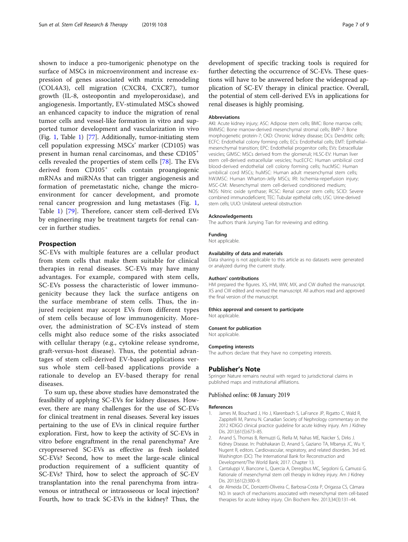<span id="page-6-0"></span>shown to induce a pro-tumorigenic phenotype on the surface of MSCs in microenvironment and increase expression of genes associated with matrix remodeling (COL4A3), cell migration (CXCR4, CXCR7), tumor growth (IL-8, osteopontin and myeloperoxidase), and angiogenesis. Importantly, EV-stimulated MSCs showed an enhanced capacity to induce the migration of renal tumor cells and vessel-like formation in vitro and supported tumor development and vascularization in vivo (Fig. [1,](#page-2-0) Table [1\)](#page-3-0) [\[77\]](#page-8-0). Additionally, tumor-initiating stem cell population expressing MSCs' marker (CD105) was present in human renal carcinomas, and these CD105<sup>+</sup> cells revealed the properties of stem cells [[78\]](#page-8-0). The EVs derived from CD105<sup>+</sup> cells contain proangiogenic mRNAs and miRNAs that can trigger angiogenesis and formation of premetastatic niche, change the microenvironment for cancer development, and promote renal cancer progression and lung metastases (Fig. [1](#page-2-0), Table [1](#page-3-0)) [\[79](#page-8-0)]. Therefore, cancer stem cell-derived EVs by engineering may be treatment targets for renal cancer in further studies.

# Prospection

SC-EVs with multiple features are a cellular product from stem cells that make them suitable for clinical therapies in renal diseases. SC-EVs may have many advantages. For example, compared with stem cells, SC-EVs possess the characteristic of lower immunogenicity because they lack the surface antigens on the surface membrane of stem cells. Thus, the injured recipient may accept EVs from different types of stem cells because of low immunogenicity. Moreover, the administration of SC-EVs instead of stem cells might also reduce some of the risks associated with cellular therapy (e.g., cytokine release syndrome, graft-versus-host disease). Thus, the potential advantages of stem cell-derived EV-based applications versus whole stem cell-based applications provide a rationale to develop an EV-based therapy for renal diseases.

To sum up, these above studies have demonstrated the feasibility of applying SC-EVs for kidney diseases. However, there are many challenges for the use of SC-EVs for clinical treatment in renal diseases. Several key issues pertaining to the use of EVs in clinical require further exploration. First, how to keep the activity of SC-EVs in vitro before engraftment in the renal parenchyma? Are cryopreserved SC-EVs as effective as fresh isolated SC-EVs? Second, how to meet the large-scale clinical production requirement of a sufficient quantity of SC-EVs? Third, how to select the approach of SC-EV transplantation into the renal parenchyma from intravenous or intrathecal or intraosseous or local injection? Fourth, how to track SC-EVs in the kidney? Thus, the development of specific tracking tools is required for further detecting the occurrence of SC-EVs. These questions will have to be answered before the widespread application of SC-EV therapy in clinical practice. Overall, the potential of stem cell-derived EVs in applications for renal diseases is highly promising.

#### Abbreviations

AKI: Acute kidney injury; ASC: Adipose stem cells; BMC: Bone marrow cells; BMMSC: Bone marrow-derived mesenchymal stromal cells; BMP-7: Bone morphogenetic protein-7; CKD: Chronic kidney disease; DCs: Dendritic cells; ECFC: Endothelial colony forming cells; ECs: Endothelial cells; EMT: Epithelial– mesenchymal transition; EPC: Endothelial progenitor cells; EVs: Extracellular vesicles; GlMSC: MSCs derived from the glomeruli; HLSC-EV: Human liver stem cell-derived extracellular vesicles; hucECFC: Human umbilical cord blood-derived endothelial cell colony forming cells; hucMSC: Human umbilical cord MSCs; huMSC: Human adult mesenchymal stem cells; hWJMSC: Human Wharton-Jelly MSCs; IRI: Ischemia-reperfusion injury; MSC-CM: Mesenchymal stem cell-derived conditioned medium; NOS: Nitric oxide synthase; RCSC: Renal cancer stem cells; SCID: Severe combined immunodeficient; TEC: Tubular epithelial cells; USC: Urine-derived stem cells; UUO: Unilateral ureteral obstruction

#### Acknowledgements

The authors thank Junying Tian for reviewing and editing.

#### Funding

Not applicable.

# Availability of data and materials

Data sharing is not applicable to this article as no datasets were generated or analyzed during the current study.

#### Authors' contributions

HM prepared the figures. XS, HM, WW, MX, and CW drafted the manuscript. XS and CW edited and revised the manuscript. All authors read and approved the final version of the manuscript.

#### Ethics approval and consent to participate

Not applicable.

#### Consent for publication

Not applicable.

#### Competing interests

The authors declare that they have no competing interests.

# Publisher's Note

Springer Nature remains neutral with regard to jurisdictional claims in published maps and institutional affiliations.

#### Published online: 08 January 2019

#### References

- 1. James M, Bouchard J, Ho J, Klarenbach S, LaFrance JP, Rigatto C, Wald R, Zappitelli M, Pannu N. Canadian Society of Nephrology commentary on the 2012 KDIGO clinical practice guideline for acute kidney injury. Am J Kidney Dis. 2013;61(5):673–85.
- 2. Anand S, Thomas B, Remuzzi G, Riella M, Nahas ME, Naicker S, Dirks J. Kidney Disease. In: Prabhakaran D, Anand S, Gaziano TA, Mbanya JC, Wu Y, Nugent R, editors. Cardiovascular, respiratory, and related disorders. 3rd ed. Washington (DC): The International Bank for Reconstruction and Development/The World Bank; 2017. Chapter 13.
- 3. Cantaluppi V, Biancone L, Quercia A, Deregibus MC, Segoloni G, Camussi G. Rationale of mesenchymal stem cell therapy in kidney injury. Am J Kidney Dis. 2013;61(2):300–9.
- 4. de Almeida DC, Donizetti-Oliveira C, Barbosa-Costa P, Origassa CS, Câmara NO. In search of mechanisms associated with mesenchymal stem cell-based therapies for acute kidney injury. Clin Biochem Rev. 2013;34(3):131–44.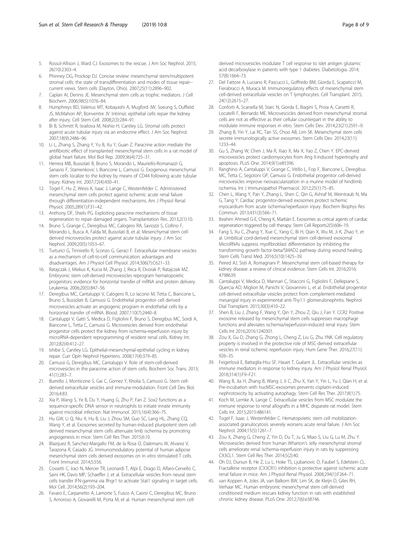- <span id="page-7-0"></span>5. Rossol-Allison J, Ward CJ. Exosomes to the rescue. J Am Soc Nephrol. 2015; 26(10):2303–4.
- 6. Phinney DG, Prockop DJ. Concise review: mesenchymal stem/multipotent stromal cells: the state of transdifferentiation and modes of tissue repair- current views. Stem cells (Dayton, Ohio). 2007;25(11):2896–902.
- 7. Caplan AI, Dennis JE. Mesenchymal stem cells as trophic mediators. J Cell Biochem. 2006;98(5):1076–84.
- 8. Humphreys BD, Valerius MT, Kobayashi A, Mugford JW, Soeung S, Duffield JS, McMahon AP, Bonventre JV. Intrinsic epithelial cells repair the kidney after injury. Cell Stem Cell. 2008;2(3):284–91.
- Bi B, Schmitt R, Israilova M, Nishio H, Cantley LG. Stromal cells protect against acute tubular injury via an endocrine effect. J Am Soc Nephrol. 2007;18(9):2486–96.
- 10. Li L, Zhang S, Zhang Y, Yu B, Xu Y, Guan Z. Paracrine action mediate the antifibrotic effect of transplanted mesenchymal stem cells in a rat model of global heart failure. Mol Biol Rep. 2009;36(4):725–31.
- 11. Herrera MB, Bussolati B, Bruno S, Morando L, Mauriello-Romanazzi G, Sanavio F, Stamenkovic I, Biancone L, Camussi G. Exogenous mesenchymal stem cells localize to the kidney by means of CD44 following acute tubular injury. Kidney Int. 2007;72(4):430–41.
- 12. Togel F, Hu Z, Weiss K, Isaac J, Lange C, Westenfelder C. Administered mesenchymal stem cells protect against ischemic acute renal failure through differentiation-independent mechanisms. Am J Physiol Renal Physiol. 2005;289(1):F31–42.
- 13. Anthony DF, Shiels PG. Exploiting paracrine mechanisms of tissue regeneration to repair damaged organs. Transplantation Res. 2013;2(1):10.
- 14. Bruno S, Grange C, Deregibus MC, Calogero RA, Saviozzi S, Collino F, Morando L, Busca A, Falda M, Bussolati B, et al. Mesenchymal stem cellderived microvesicles protect against acute tubular injury. J Am Soc Nephrol. 2009;20(5):1053–67.
- 15. Turturici G, Tinnirello R, Sconzo G, Geraci F. Extracellular membrane vesicles as a mechanism of cell-to-cell communication: advantages and disadvantages. Am J Physiol Cell Physiol. 2014;306(7):C621–33.
- 16. Ratajczak J, Miekus K, Kucia M, Zhang J, Reca R, Dvorak P, Ratajczak MZ. Embryonic stem cell-derived microvesicles reprogram hematopoietic progenitors: evidence for horizontal transfer of mRNA and protein delivery. Leukemia. 2006;20(5):847–56.
- 17. Deregibus MC, Cantaluppi V, Calogero R, Lo Iacono M, Tetta C, Biancone L, Bruno S, Bussolati B, Camussi G. Endothelial progenitor cell derived microvesicles activate an angiogenic program in endothelial cells by a horizontal transfer of mRNA. Blood. 2007;110(7):2440–8.
- 18. Cantaluppi V, Gatti S, Medica D, Figliolini F, Bruno S, Deregibus MC, Sordi A, Biancone L, Tetta C, Camussi G. Microvesicles derived from endothelial progenitor cells protect the kidney from ischemia-reperfusion injury by microRNA-dependent reprogramming of resident renal cells. Kidney Int. 2012;82(4):412–27.
- 19. Ishibe S, Cantley LG. Epithelial-mesenchymal-epithelial cycling in kidney repair. Curr Opin Nephrol Hypertens. 2008;17(4):379–85.
- 20. Camussi G, Deregibus MC, Cantaluppi V. Role of stem-cell-derived microvesicles in the paracrine action of stem cells. Biochem Soc Trans. 2013; 41(1):283–7.
- 21. Burrello J, Monticone S, Gai C, Gomez Y, Kholia S, Camussi G. Stem cellderived extracellular vesicles and immune-modulation. Front Cell Dev Biol. 2016;4:83.
- 22. Xia P, Wang S, Ye B, Du Y, Huang G, Zhu P, Fan Z. Sox2 functions as a sequence-specific DNA sensor in neutrophils to initiate innate immunity against microbial infection. Nat Immunol. 2015;16(4):366–75.
- 23. Hu GW, Li Q, Niu X, Hu B, Liu J, Zhou SM, Guo SC, Lang HL, Zhang CQ, Wang Y, et al. Exosomes secreted by human-induced pluripotent stem cellderived mesenchymal stem cells attenuate limb ischemia by promoting angiogenesis in mice. Stem Cell Res Ther. 2015;6:10.
- 24. Blazquez R, Sanchez-Margallo FM, de la Rosa O, Dalemans W, Alvarez V, Tarazona R, Casado JG. Immunomodulatory potential of human adipose mesenchymal stem cells derived exosomes on in vitro stimulated T cells. Front Immunol. 2014;5:556.
- 25. Cossetti C, Iraci N, Mercer TR, Leonardi T, Alpi E, Drago D, Alfaro-Cervello C, Saini HK, Davis MP, Schaeffer J, et al. Extracellular vesicles from neural stem cells transfer IFN-gamma via Ifngr1 to activate Stat1 signaling in target cells. Mol Cell. 2014;56(2):193–204.
- 26. Favaro E, Carpanetto A, Lamorte S, Fusco A, Caorsi C, Deregibus MC, Bruno S, Amoroso A, Giovarelli M, Porta M, et al. Human mesenchymal stem cell-

derived microvesicles modulate T cell response to islet antigen glutamic acid decarboxylase in patients with type 1 diabetes. Diabetologia. 2014; 57(8):1664–73.

- 27. Del Fattore A, Luciano R, Pascucci L, Goffredo BM, Giorda E, Scapaticci M, Fierabracci A, Muraca M. Immunoregulatory effects of mesenchymal stem cell-derived extracellular vesicles on T lymphocytes. Cell Transplant. 2015; 24(12):2615–27.
- 28. Conforti A, Scarsella M, Starc N, Giorda E, Biagini S, Proia A, Carsetti R, Locatelli F, Bernardo ME. Microvescicles derived from mesenchymal stromal cells are not as effective as their cellular counterpart in the ability to modulate immune responses in vitro. Stem Cells Dev. 2014;23(21):2591–9.
- 29. Zhang B, Yin Y, Lai RC, Tan SS, Choo AB, Lim SK. Mesenchymal stem cells secrete immunologically active exosomes. Stem Cells Dev. 2014;23(11): 1233–44.
- 30. Gu S, Zhang W, Chen J, Ma R, Xiao X, Ma X, Yao Z, Chen Y. EPC-derived microvesicles protect cardiomyocytes from Ang II-induced hypertrophy and apoptosis. PLoS One. 2014;9(1):e85396.
- 31. Ranghino A, Cantaluppi V, Grange C, Vitillo L, Fop F, Biancone L, Deregibus MC, Tetta C, Segoloni GP, Camussi G. Endothelial progenitor cell-derived microvesicles improve neovascularization in a murine model of hindlimb ischemia. Int J Immunopathol Pharmacol. 2012;25(1):75–85.
- 32. Chen L, Wang Y, Pan Y, Zhang L, Shen C, Qin G, Ashraf M, Weintraub N, Ma G, Tang Y. Cardiac progenitor-derived exosomes protect ischemic myocardium from acute ischemia/reperfusion injury. Biochem Biophys Res Commun. 2013;431(3):566–71.
- 33. Ibrahim Ahmed G-E, Cheng K, Marbán E. Exosomes as critical agents of cardiac regeneration triggered by cell therapy. Stem Cell Reports2(5):606–19.
- 34. Fang S, Xu C, Zhang Y, Xue C, Yang C, Bi H, Qian X, Wu M, Ji K, Zhao Y, et al. Umbilical cord-derived mesenchymal stem cell-derived exosomal MicroRNAs suppress myofibroblast differentiation by inhibiting the transforming growth factor-beta/SMAD2 pathway during wound healing. Stem Cells Transl Med. 2016;5(10):1425–39.
- 35. Peired AJ, Sisti A, Romagnani P. Mesenchymal stem cell-based therapy for kidney disease: a review of clinical evidence. Stem Cells Int. 2016;2016: 4798639.
- 36. Cantaluppi V, Medica D, Mannari C, Stiaccini G, Figliolini F, Dellepiane S, Quercia AD, Migliori M, Panichi V, Giovannini L, et al. Endothelial progenitor cell-derived extracellular vesicles protect from complement-mediated mesangial injury in experimental anti-Thy1.1 glomerulonephritis. Nephrol Dial Transplant. 2015;30(3):410–22.
- 37. Shen B, Liu J, Zhang F, Wang Y, Qin Y, Zhou Z, Qiu J, Fan Y. CCR2 Positive exosome released by mesenchymal stem cells suppresses macrophage functions and alleviates ischemia/reperfusion-induced renal injury. Stem Cells Int 2016;2016:1240301.
- 38. Zou X, Gu D, Zhang G, Zhong L, Cheng Z, Liu G, Zhu YNK. Cell regulatory property is involved in the protective role of MSC-derived extracellular vesicles in renal ischemic reperfusion injury. Hum Gene Ther. 2016;27(11): 926–35.
- 39. Feigerlová E, Battaglia-Hsu SF, Hauet T, Guéant JL. Extracellular vesicles as immune mediators in response to kidney injury. Am J Physiol Renal Physiol. 2018;314(1):F9–F21.
- 40. Wang B, Jia H, Zhang B, Wang J, Ji C, Zhu X, Yan Y, Yin L, Yu J, Qian H, et al. Pre-incubation with hucMSC-exosomes prevents cisplatin-induced nephrotoxicity by activating autophagy. Stem Cell Res Ther. 2017;8(1):75.
- 41. Koch M, Lemke A, Lange C. Extracellular vesicles from MSC modulate the immune response to renal allografts in a MHC disparate rat model. Stem Cells Int. 2015;2015:486141.
- 42. Togel F, Isaac J, Westenfelder C. Hematopoietic stem cell mobilizationassociated granulocytosis severely worsens acute renal failure. J Am Soc Nephrol. 2004;15(5):1261–7.
- 43. Zou X, Zhang G, Cheng Z, Yin D, Du T, Ju G, Miao S, Liu G, Lu M, Zhu Y. Microvesicles derived from human Wharton's Jelly mesenchymal stromal cells ameliorate renal ischemia-reperfusion injury in rats by suppressing CX3CL1. Stem Cell Res Ther. 2014;5(2):40.
- 44. Oh DJ, Dursun B, He Z, Lu L, Hoke TS, Ljubanovic D, Faubel S, Edelstein CL. Fractalkine receptor (CX3CR1) inhibition is protective against ischemic acute renal failure in mice. Am J Physiol Renal Physiol. 2008;294(1):F264–71.
- 45. van Koppen A, Joles JA, van Balkom BW, Lim SK, de Kleijn D, Giles RH, Verhaar MC. Human embryonic mesenchymal stem cell-derived conditioned medium rescues kidney function in rats with established chronic kidney disease. PLoS One. 2012;7(6):e38746.